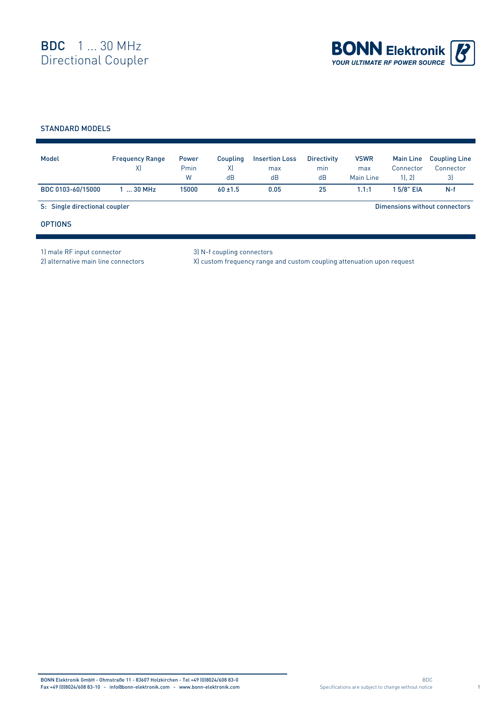

## STANDARD MODELS

| Model                         | <b>Frequency Range</b><br>X) | <b>Power</b><br>Pmin<br>W | Coupling<br>X)<br>dB | <b>Insertion Loss</b><br>max<br>dB | <b>Directivity</b><br>min<br>dB | <b>VSWR</b><br>max<br>Main Line | <b>Main Line</b><br>Connector<br>1, 2 | <b>Coupling Line</b><br>Connector<br>3) |
|-------------------------------|------------------------------|---------------------------|----------------------|------------------------------------|---------------------------------|---------------------------------|---------------------------------------|-----------------------------------------|
| BDC 0103-60/15000             | $130$ MHz                    | 15000                     | $60 + 1.5$           | 0.05                               | 25                              | 1.1:1                           | 1 5/8" EIA                            | $N-f$                                   |
| S: Single directional coupler |                              |                           |                      |                                    | Dimensions without connectors   |                                 |                                       |                                         |
| <b>OPTIONS</b>                |                              |                           |                      |                                    |                                 |                                 |                                       |                                         |

1) male RF input connector 3) N-f coupling connectors

2) alternative main line connectors X) custom frequency range and custom coupling attenuation upon request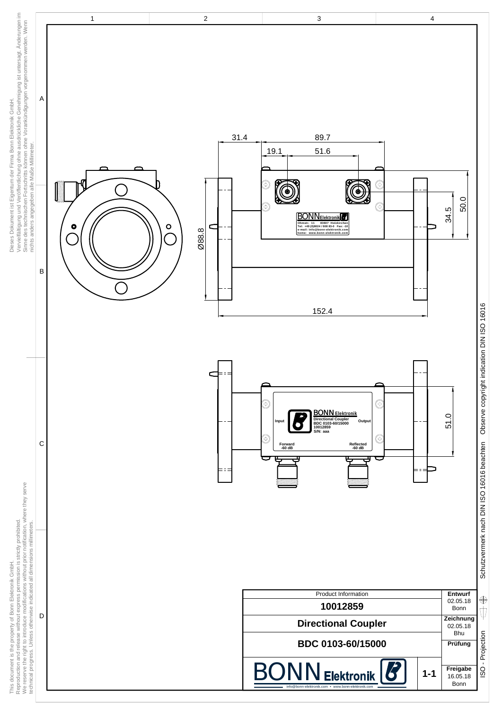